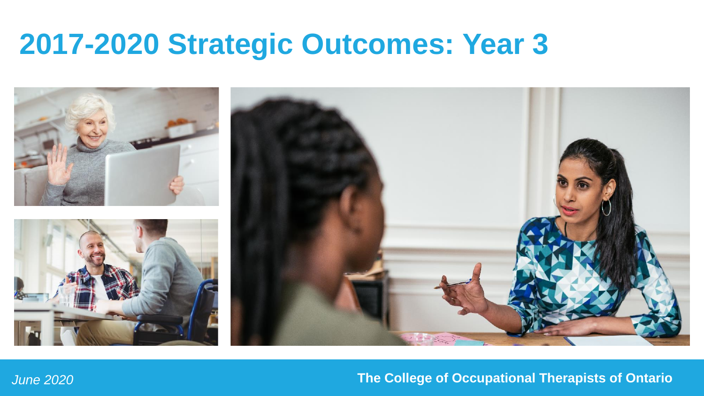## **2017-2020 Strategic Outcomes: Year 3**



## *June 2020* **The College of Occupational Therapists of Ontario**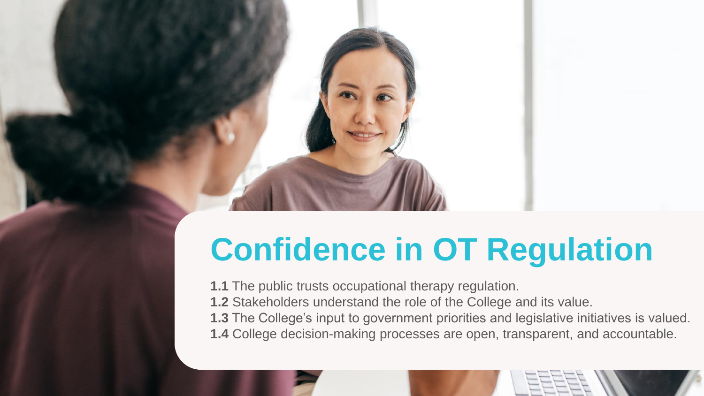

**1.1** The public trusts occupational therapy regulation. **1.2** Stakeholders understand the role of the College and its value. **1.3** The College's input to government priorities and legislative initiatives is valued. **1.4** College decision-making processes are open, transparent, and accountable.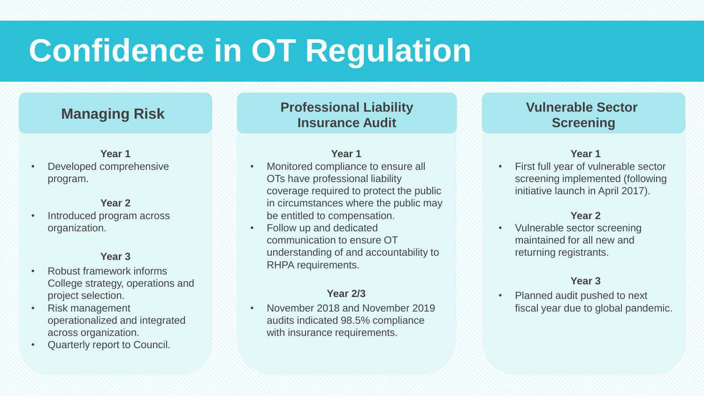## **Managing Risk**

### **Year 1**

• Developed comprehensive program.

### **Year 2**

• Introduced program across organization.

### **Year 3**

- Robust framework informs College strategy, operations and project selection.
- Risk management operationalized and integrated across organization.
- Quarterly report to Council.

**Professional Liability Insurance Audit**

#### **Year 1**

- Monitored compliance to ensure all OTs have professional liability coverage required to protect the public in circumstances where the public may be entitled to compensation.
- Follow up and dedicated communication to ensure OT understanding of and accountability to RHPA requirements.

### **Year 2/3**

• November 2018 and November 2019 audits indicated 98.5% compliance with insurance requirements.

## **Vulnerable Sector Screening**

### **Year 1**

• First full year of vulnerable sector screening implemented (following initiative launch in April 2017).

#### **Year 2**

• Vulnerable sector screening maintained for all new and returning registrants.

## **Year 3**

• Planned audit pushed to next fiscal year due to global pandemic.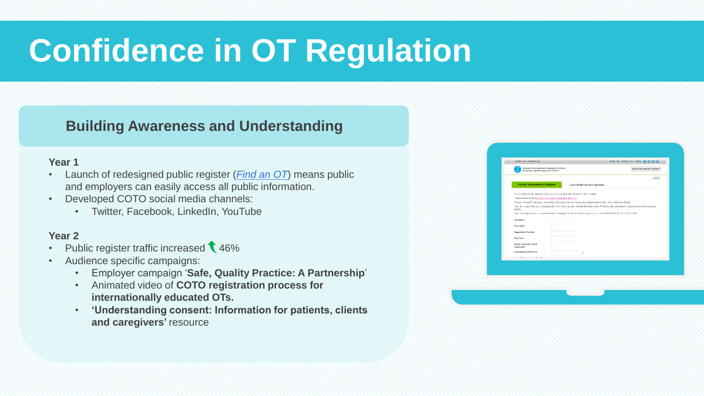## **Building Awareness and Understanding**

## **Year 1**

- Launch of redesigned public register (*[Find an OT](https://occupationaltherapist.coto.org/coto/COTOWEB/DirectoryRD/COTOWEB/OT_Directory_RD/Directory.aspx)*) means public and employers can easily access all public information.
- Developed COTO social media channels:
	- Twitter, Facebook, LinkedIn, YouTube

- Public register traffic increased  $\sqrt{46\%}$
- Audience specific campaigns:
	- Employer campaign '**Safe, Quality Practice: A Partnership**'
	- Animated video of **COTO registration process for internationally educated OTs.**
	- **'Understanding consent: Information for patients, clients**  and caregivers' resource

| Ordre des ergothèrapeutes de l'Ontario                                                                                                                                         |                                 |       |
|--------------------------------------------------------------------------------------------------------------------------------------------------------------------------------|---------------------------------|-------|
| Find an Occupational Therapist                                                                                                                                                 | Find a Professional Corporation | LOGIN |
| Find an Occupational Theraped is an online led of occupational therapeds (CTs) in Onlishe.                                                                                     |                                 |       |
| The importance of the price include that is publicly associated to street CDs.                                                                                                 |                                 |       |
| To search for an OT, use one or more of the fields below. You can narrow your search results by filling in a combination of fields.                                            |                                 |       |
| If you are unsure of the correct spoling of the OT's name, you can insert the first letter of the OT's first or last name into the relevant search field, and pross<br>search. |                                 |       |
| If you have any questions or need searchnost locating an CT, please contact into typolo copion call 1.830 BBC 85702 06 214 1177 s228.                                          |                                 |       |
|                                                                                                                                                                                |                                 |       |
| Last Name                                                                                                                                                                      |                                 |       |
| <b>First Name</b>                                                                                                                                                              |                                 |       |
| <b>Registration Number</b>                                                                                                                                                     |                                 |       |
| <b>Chul Town</b>                                                                                                                                                               |                                 |       |
|                                                                                                                                                                                |                                 |       |
| Postal Code (first three<br>characters)                                                                                                                                        |                                 |       |
| Language(s) of Service                                                                                                                                                         |                                 |       |
| Harry P.W. Rosenberg, Aug. Philad Pres.                                                                                                                                        |                                 |       |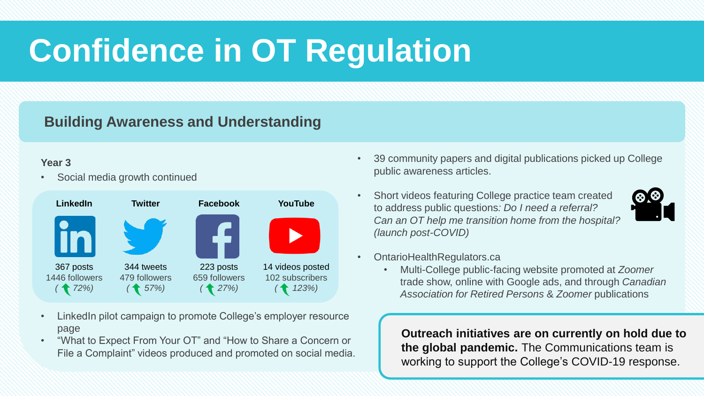## **Building Awareness and Understanding**

## **Year 3**

• Social media growth continued



- LinkedIn pilot campaign to promote College's employer resource page
- "What to Expect From Your OT" and "How to Share a Concern or File a Complaint" videos produced and promoted on social media.
- 39 community papers and digital publications picked up College public awareness articles.
- Short videos featuring College practice team created to address public questions*: Do I need a referral? Can an OT help me transition home from the hospital? (launch post-COVID)*
- OntarioHealthRegulators.ca
	- Multi-College public-facing website promoted at *Zoomer* trade show, online with Google ads, and through *Canadian Association for Retired Persons* & *Zoomer* publications

**Outreach initiatives are on currently on hold due to the global pandemic.** The Communications team is working to support the College's COVID-19 response.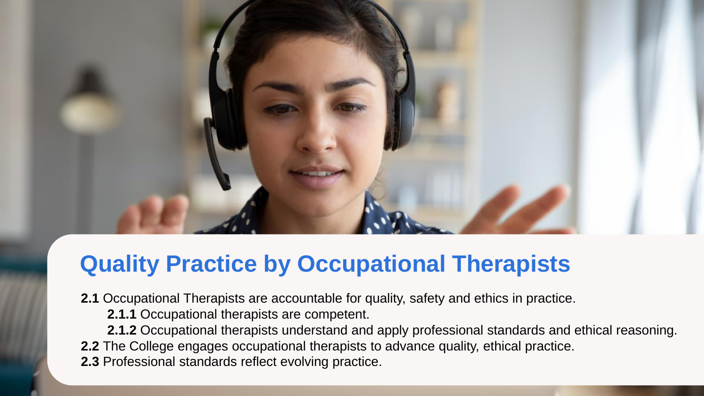- **2.1** Occupational Therapists are accountable for quality, safety and ethics in practice.
	- **2.1.1** Occupational therapists are competent.
- **2.1.2** Occupational therapists understand and apply professional standards and ethical reasoning. **2.2** The College engages occupational therapists to advance quality, ethical practice.
- **2.3** Professional standards reflect evolving practice.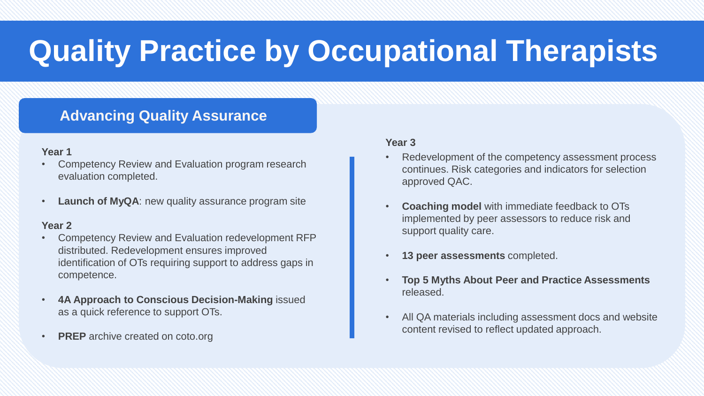## **Advancing Quality Assurance**

## **Year 1**

- Competency Review and Evaluation program research evaluation completed.
- **Launch of MyQA**: new quality assurance program site

## **Year 2**

- Competency Review and Evaluation redevelopment RFP distributed. Redevelopment ensures improved identification of OTs requiring support to address gaps in competence.
- **4A Approach to Conscious Decision-Making** issued as a quick reference to support OTs.
- **PREP** archive created on coto.org

- Redevelopment of the competency assessment process continues. Risk categories and indicators for selection approved QAC.
- **Coaching model** with immediate feedback to OTs implemented by peer assessors to reduce risk and support quality care.
- **13 peer assessments** completed.
- **Top 5 Myths About Peer and Practice Assessments**  released.
- All QA materials including assessment docs and website content revised to reflect updated approach.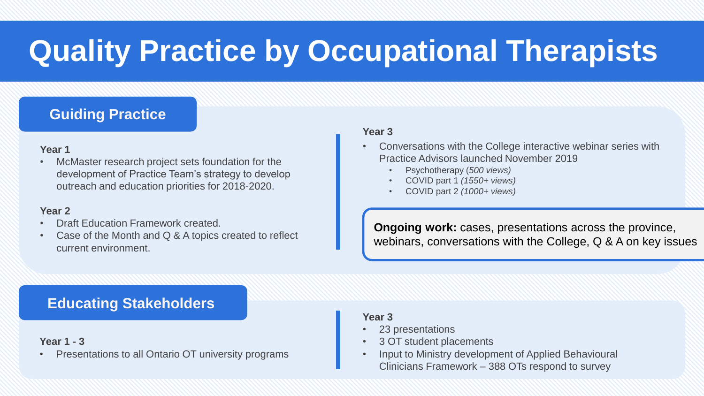## **Guiding Practice**

### **Year 1**

• McMaster research project sets foundation for the development of Practice Team's strategy to develop outreach and education priorities for 2018-2020.

#### **Year 2**

- Draft Education Framework created.
- Case of the Month and Q & A topics created to reflect current environment.

### **Year 3**

- Conversations with the College interactive webinar series with Practice Advisors launched November 2019
	- Psychotherapy (*500 views)*
	- COVID part 1 *(1550+ views)*
	- COVID part 2 *(1000+ views)*

**Ongoing work:** cases, presentations across the province, webinars, conversations with the College, Q & A on key issues

**Educating Stakeholders** 

### **Year 1 - 3**

• Presentations to all Ontario OT university programs

- 23 presentations
- 3 OT student placements
- Input to Ministry development of Applied Behavioural Clinicians Framework – 388 OTs respond to survey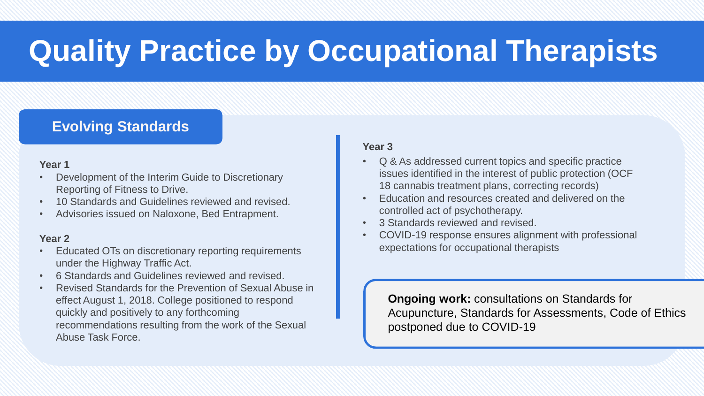## **Evolving Standards**

## **Year 1**

- Development of the Interim Guide to Discretionary Reporting of Fitness to Drive.
- 10 Standards and Guidelines reviewed and revised.
- Advisories issued on Naloxone, Bed Entrapment.

## **Year 2**

- Educated OTs on discretionary reporting requirements under the Highway Traffic Act.
- 6 Standards and Guidelines reviewed and revised.
- Revised Standards for the Prevention of Sexual Abuse in effect August 1, 2018. College positioned to respond quickly and positively to any forthcoming recommendations resulting from the work of the Sexual Abuse Task Force.

## **Year 3**

- Q & As addressed current topics and specific practice issues identified in the interest of public protection (OCF 18 cannabis treatment plans, correcting records)
- Education and resources created and delivered on the controlled act of psychotherapy.
- 3 Standards reviewed and revised.
- COVID-19 response ensures alignment with professional expectations for occupational therapists

**Ongoing work:** consultations on Standards for Acupuncture, Standards for Assessments, Code of Ethics postponed due to COVID-19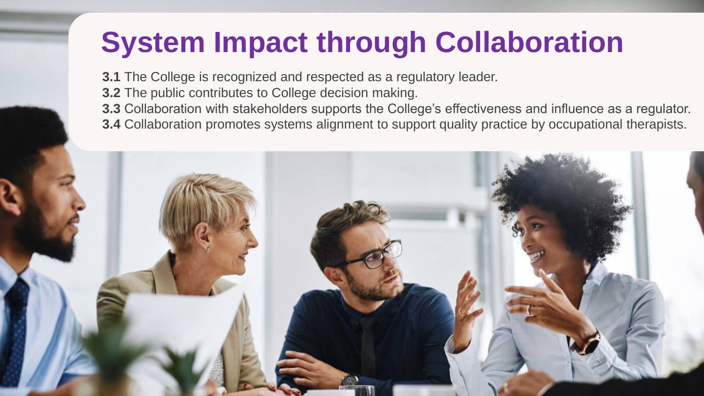**3.1** The College is recognized and respected as a regulatory leader.

- **3.2** The public contributes to College decision making.
- **3.3** Collaboration with stakeholders supports the College's effectiveness and influence as a regulator.
- **3.4** Collaboration promotes systems alignment to support quality practice by occupational therapists.

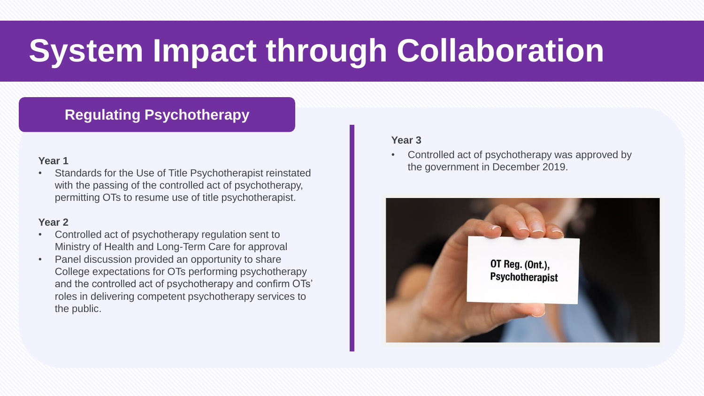## **Regulating Psychotherapy**

### **Year 1**

• Standards for the Use of Title Psychotherapist reinstated with the passing of the controlled act of psychotherapy, permitting OTs to resume use of title psychotherapist.

#### **Year 2**

- Controlled act of psychotherapy regulation sent to Ministry of Health and Long-Term Care for approval
- Panel discussion provided an opportunity to share College expectations for OTs performing psychotherapy and the controlled act of psychotherapy and confirm OTs' roles in delivering competent psychotherapy services to the public.

#### **Year 3**

Controlled act of psychotherapy was approved by the government in December 2019.

![](_page_10_Picture_9.jpeg)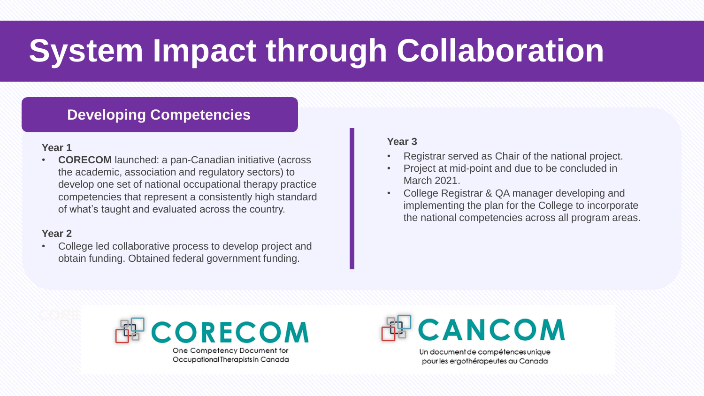## **Developing Competencies**

## **Year 1**

**CORECOM** launched: a pan-Canadian initiative (across the academic, association and regulatory sectors) to develop one set of national occupational therapy practice competencies that represent a consistently high standard of what's taught and evaluated across the country.

## **Year 2**

• College led collaborative process to develop project and obtain funding. Obtained federal government funding.

#### **Year 3**

- Registrar served as Chair of the national project.
- Project at mid-point and due to be concluded in March 2021.
- College Registrar & QA manager developing and implementing the plan for the College to incorporate the national competencies across all program areas.

![](_page_11_Picture_10.jpeg)

CANCOM

Un document de compétences unique pour les ergothérapeutes au Canada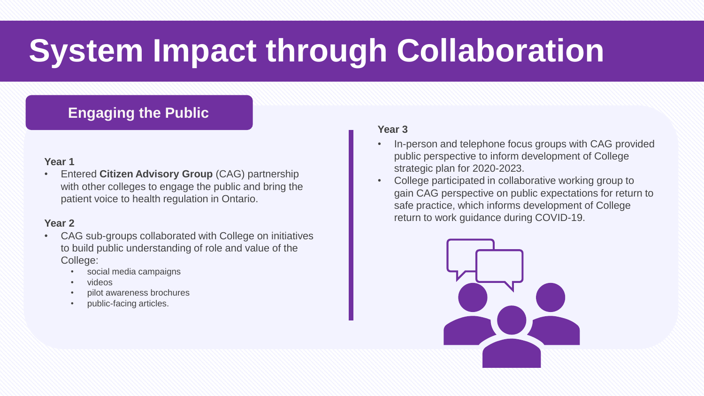## **Engaging the Public**

## **Year 1**

• Entered **Citizen Advisory Group** (CAG) partnership with other colleges to engage the public and bring the patient voice to health regulation in Ontario.

## **Year 2**

- CAG sub-groups collaborated with College on initiatives to build public understanding of role and value of the College:
	- social media campaigns
	- videos
	- pilot awareness brochures
	- public-facing articles.

- In-person and telephone focus groups with CAG provided public perspective to inform development of College strategic plan for 2020-2023.
- College participated in collaborative working group to gain CAG perspective on public expectations for return to safe practice, which informs development of College return to work guidance during COVID-19.

![](_page_12_Picture_13.jpeg)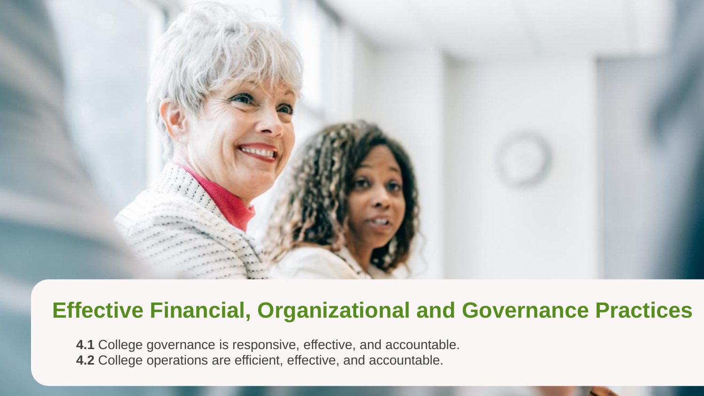![](_page_13_Picture_0.jpeg)

## **Effective Financial, Organizational and Governance Practices**

**4.1** College governance is responsive, effective, and accountable. **4.2** College operations are efficient, effective, and accountable.